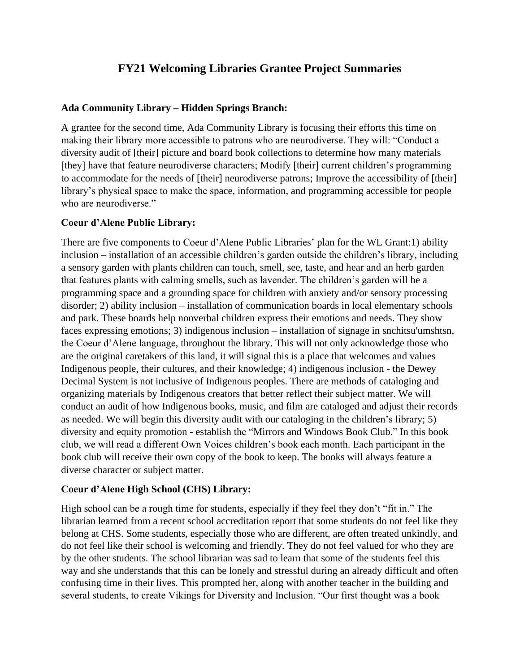# **FY21 Welcoming Libraries Grantee Project Summaries**

#### **Ada Community Library – Hidden Springs Branch:**

A grantee for the second time, Ada Community Library is focusing their efforts this time on making their library more accessible to patrons who are neurodiverse. They will: "Conduct a diversity audit of [their] picture and board book collections to determine how many materials [they] have that feature neurodiverse characters; Modify [their] current children's programming to accommodate for the needs of [their] neurodiverse patrons; Improve the accessibility of [their] library's physical space to make the space, information, and programming accessible for people who are neurodiverse."

#### **Coeur d'Alene Public Library:**

There are five components to Coeur d'Alene Public Libraries' plan for the WL Grant:1) ability inclusion – installation of an accessible children's garden outside the children's library, including a sensory garden with plants children can touch, smell, see, taste, and hear and an herb garden that features plants with calming smells, such as lavender. The children's garden will be a programming space and a grounding space for children with anxiety and/or sensory processing disorder; 2) ability inclusion – installation of communication boards in local elementary schools and park. These boards help nonverbal children express their emotions and needs. They show faces expressing emotions; 3) indigenous inclusion – installation of signage in snchitsu'umshtsn, the Coeur d'Alene language, throughout the library. This will not only acknowledge those who are the original caretakers of this land, it will signal this is a place that welcomes and values Indigenous people, their cultures, and their knowledge; 4) indigenous inclusion - the Dewey Decimal System is not inclusive of Indigenous peoples. There are methods of cataloging and organizing materials by Indigenous creators that better reflect their subject matter. We will conduct an audit of how Indigenous books, music, and film are cataloged and adjust their records as needed. We will begin this diversity audit with our cataloging in the children's library; 5) diversity and equity promotion - establish the "Mirrors and Windows Book Club." In this book club, we will read a different Own Voices children's book each month. Each participant in the book club will receive their own copy of the book to keep. The books will always feature a diverse character or subject matter.

#### **Coeur d'Alene High School (CHS) Library:**

High school can be a rough time for students, especially if they feel they don't "fit in." The librarian learned from a recent school accreditation report that some students do not feel like they belong at CHS. Some students, especially those who are different, are often treated unkindly, and do not feel like their school is welcoming and friendly. They do not feel valued for who they are by the other students. The school librarian was sad to learn that some of the students feel this way and she understands that this can be lonely and stressful during an already difficult and often confusing time in their lives. This prompted her, along with another teacher in the building and several students, to create Vikings for Diversity and Inclusion. "Our first thought was a book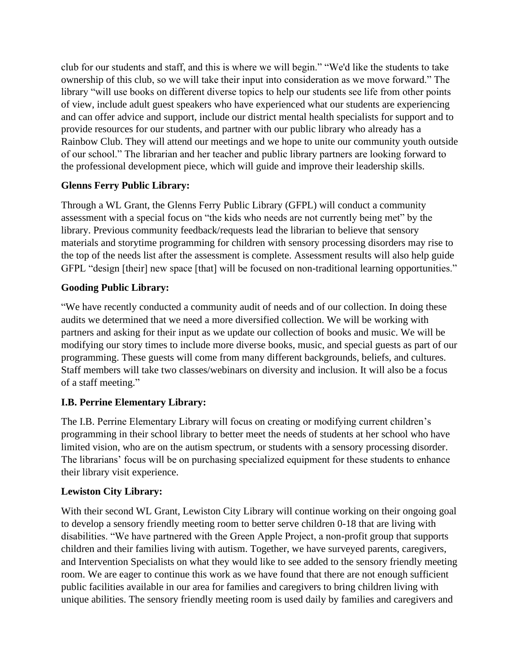club for our students and staff, and this is where we will begin." "We'd like the students to take ownership of this club, so we will take their input into consideration as we move forward." The library "will use books on different diverse topics to help our students see life from other points of view, include adult guest speakers who have experienced what our students are experiencing and can offer advice and support, include our district mental health specialists for support and to provide resources for our students, and partner with our public library who already has a Rainbow Club. They will attend our meetings and we hope to unite our community youth outside of our school." The librarian and her teacher and public library partners are looking forward to the professional development piece, which will guide and improve their leadership skills.

# **Glenns Ferry Public Library:**

Through a WL Grant, the Glenns Ferry Public Library (GFPL) will conduct a community assessment with a special focus on "the kids who needs are not currently being met" by the library. Previous community feedback/requests lead the librarian to believe that sensory materials and storytime programming for children with sensory processing disorders may rise to the top of the needs list after the assessment is complete. Assessment results will also help guide GFPL "design [their] new space [that] will be focused on non-traditional learning opportunities."

### **Gooding Public Library:**

"We have recently conducted a community audit of needs and of our collection. In doing these audits we determined that we need a more diversified collection. We will be working with partners and asking for their input as we update our collection of books and music. We will be modifying our story times to include more diverse books, music, and special guests as part of our programming. These guests will come from many different backgrounds, beliefs, and cultures. Staff members will take two classes/webinars on diversity and inclusion. It will also be a focus of a staff meeting."

# **I.B. Perrine Elementary Library:**

The I.B. Perrine Elementary Library will focus on creating or modifying current children's programming in their school library to better meet the needs of students at her school who have limited vision, who are on the autism spectrum, or students with a sensory processing disorder. The librarians' focus will be on purchasing specialized equipment for these students to enhance their library visit experience.

# **Lewiston City Library:**

With their second WL Grant, Lewiston City Library will continue working on their ongoing goal to develop a sensory friendly meeting room to better serve children 0-18 that are living with disabilities. "We have partnered with the Green Apple Project, a non-profit group that supports children and their families living with autism. Together, we have surveyed parents, caregivers, and Intervention Specialists on what they would like to see added to the sensory friendly meeting room. We are eager to continue this work as we have found that there are not enough sufficient public facilities available in our area for families and caregivers to bring children living with unique abilities. The sensory friendly meeting room is used daily by families and caregivers and